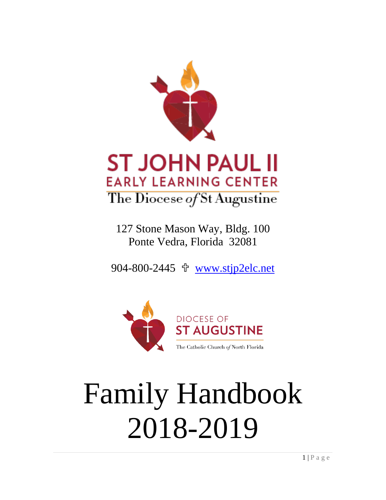

## **ST JOHN PAUL II EARLY LEARNING CENTER** The Diocese of St Augustine

127 Stone Mason Way, Bldg. 100 Ponte Vedra, Florida 32081

904-800-2445 [www.stjp2elc.net](http://www.stjp2elc.net/)



# Family Handbook 2018-2019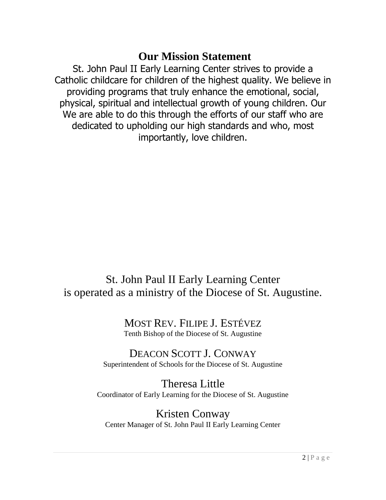## **Our Mission Statement**

<span id="page-1-0"></span>St. John Paul II Early Learning Center strives to provide a Catholic childcare for children of the highest quality. We believe in providing programs that truly enhance the emotional, social, physical, spiritual and intellectual growth of young children. Our We are able to do this through the efforts of our staff who are dedicated to upholding our high standards and who, most importantly, love children.

## St. John Paul II Early Learning Center is operated as a ministry of the Diocese of St. Augustine.

## MOST REV. FILIPE J. ESTÉVEZ Tenth Bishop of the Diocese of St. Augustine

#### DEACON SCOTT J. CONWAY Superintendent of Schools for the Diocese of St. Augustine

Theresa Little Coordinator of Early Learning for the Diocese of St. Augustine

Kristen Conway Center Manager of St. John Paul II Early Learning Center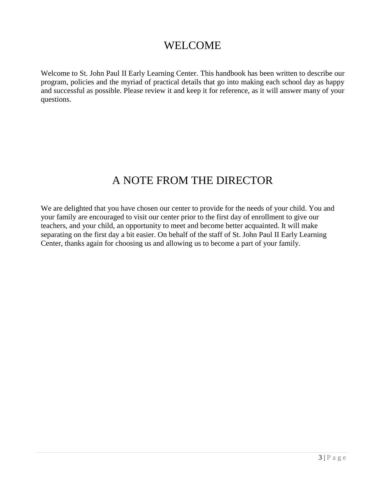## WELCOME

Welcome to St. John Paul II Early Learning Center. This handbook has been written to describe our program, policies and the myriad of practical details that go into making each school day as happy and successful as possible. Please review it and keep it for reference, as it will answer many of your questions.

## A NOTE FROM THE DIRECTOR

We are delighted that you have chosen our center to provide for the needs of your child. You and your family are encouraged to visit our center prior to the first day of enrollment to give our teachers, and your child, an opportunity to meet and become better acquainted. It will make separating on the first day a bit easier. On behalf of the staff of St. John Paul II Early Learning Center, thanks again for choosing us and allowing us to become a part of your family.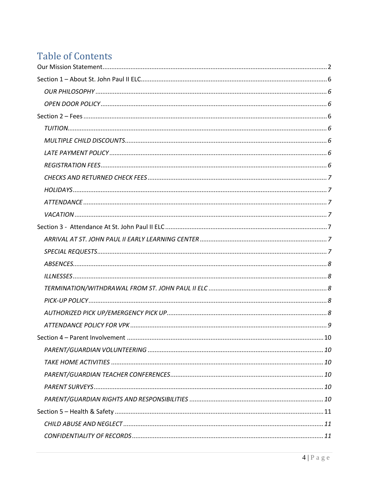## **Table of Contents**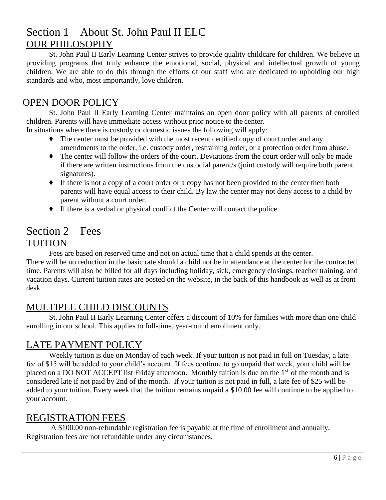## <span id="page-5-0"></span>Section 1 – About St. John Paul II ELC OUR PHILOSOPHY

<span id="page-5-1"></span>St. John Paul II Early Learning Center strives to provide quality childcare for children. We believe in providing programs that truly enhance the emotional, social, physical and intellectual growth of young children. We are able to do this through the efforts of our staff who are dedicated to upholding our high standards and who, most importantly, love children*.*

## <span id="page-5-2"></span>OPEN DOOR POLICY

St. John Paul II Early Learning Center maintains an open door policy with all parents of enrolled children. Parents will have immediate access without prior notice to the center.

In situations where there is custody or domestic issues the following will apply:

- ◆ The center must be provided with the most recent certified copy of court order and any amendments to the order, i.e. custody order, restraining order, or a protection order from abuse.
- ◆ The center will follow the orders of the court. Deviations from the court order will only be made if there are written instructions from the custodial parent/s (joint custody will require both parent signatures).
- ◆ If there is not a copy of a court order or a copy has not been provided to the center then both parents will have equal access to their child. By law the center may not deny access to a child by parent without a court order.
- ◆ If there is a verbal or physical conflict the Center will contact the police.

## <span id="page-5-4"></span><span id="page-5-3"></span>Section 2 – Fees TUITION

Fees are based on reserved time and not on actual time that a child spends at the center.

There will be no reduction in the basic rate should a child not be in attendance at the center for the contracted time. Parents will also be billed for all days including holiday, sick, emergency closings, teacher training, and vacation days. Current tuition rates are posted on the website, in the back of this handbook as well as at front desk.

#### <span id="page-5-5"></span>MULTIPLE CHILD DISCOUNTS

St. John Paul II Early Learning Center offers a discount of 10% for families with more than one child enrolling in our school. This applies to full-time, year-round enrollment only.

### <span id="page-5-6"></span>LATE PAYMENT POLICY

Weekly tuition is due on Monday of each week. If your tuition is not paid in full on Tuesday, a late fee of \$15 will be added to your child's account. If fees continue to go unpaid that week, your child will be placed on a DO NOT ACCEPT list Friday afternoon. Monthly tuition is due on the 1<sup>st</sup> of the month and is considered late if not paid by 2nd of the month. If your tuition is not paid in full, a late fee of \$25 will be added to your tuition. Every week that the tuition remains unpaid a \$10.00 fee will continue to be applied to your account.

### <span id="page-5-7"></span>REGISTRATION FEES

A \$100.00 non-refundable registration fee is payable at the time of enrollment and annually. Registration fees are not refundable under any circumstances.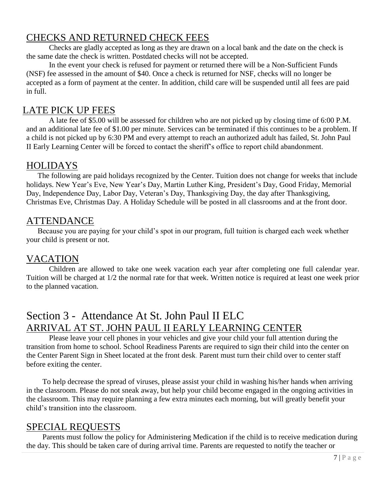## <span id="page-6-0"></span>CHECKS AND RETURNED CHECK FEES

Checks are gladly accepted as long as they are drawn on a local bank and the date on the check is the same date the check is written. Postdated checks will not be accepted.

In the event your check is refused for payment or returned there will be a Non-Sufficient Funds (NSF) fee assessed in the amount of \$40. Once a check is returned for NSF, checks will no longer be accepted as a form of payment at the center. In addition, child care will be suspended until all fees are paid in full.

## LATE PICK UP FEES

A late fee of \$5.00 will be assessed for children who are not picked up by closing time of 6:00 P.M. and an additional late fee of \$1.00 per minute. Services can be terminated if this continues to be a problem. If a child is not picked up by 6:30 PM and every attempt to reach an authorized adult has failed, St. John Paul II Early Learning Center will be forced to contact the sheriff's office to report child abandonment.

### <span id="page-6-1"></span>HOLIDAYS

The following are paid holidays recognized by the Center. Tuition does not change for weeks that include holidays. New Year's Eve, New Year's Day, Martin Luther King, President's Day, Good Friday, Memorial Day, Independence Day, Labor Day, Veteran's Day, Thanksgiving Day, the day after Thanksgiving, Christmas Eve, Christmas Day. A Holiday Schedule will be posted in all classrooms and at the front door.

### <span id="page-6-2"></span>ATTENDANCE

Because you are paying for your child's spot in our program, full tuition is charged each week whether your child is present or not.

## <span id="page-6-3"></span>VACATION

Children are allowed to take one week vacation each year after completing one full calendar year. Tuition will be charged at 1/2 the normal rate for that week. Written notice is required at least one week prior to the planned vacation.

## <span id="page-6-4"></span>Section 3 - Attendance At St. John Paul II ELC ARRIVAL AT ST. JOHN PAUL II EARLY LEARNING CENTER

<span id="page-6-5"></span>Please leave your cell phones in your vehicles and give your child your full attention during the transition from home to school. School Readiness Parents are required to sign their child into the center on the Center Parent Sign in Sheet located at the front desk. Parent must turn their child over to center staff before exiting the center.

To help decrease the spread of viruses, please assist your child in washing his/her hands when arriving in the classroom. Please do not sneak away, but help your child become engaged in the ongoing activities in the classroom. This may require planning a few extra minutes each morning, but will greatly benefit your child's transition into the classroom.

### <span id="page-6-6"></span>SPECIAL REQUESTS

Parents must follow the policy for Administering Medication if the child is to receive medication during the day. This should be taken care of during arrival time. Parents are requested to notify the teacher or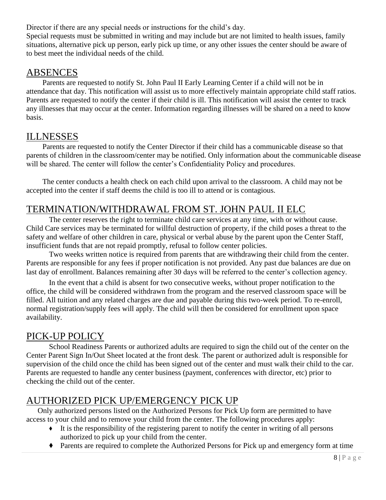Director if there are any special needs or instructions for the child's day.

Special requests must be submitted in writing and may include but are not limited to health issues, family situations, alternative pick up person, early pick up time, or any other issues the center should be aware of to best meet the individual needs of the child.

#### <span id="page-7-0"></span>ABSENCES

Parents are requested to notify St. John Paul II Early Learning Center if a child will not be in attendance that day. This notification will assist us to more effectively maintain appropriate child staff ratios. Parents are requested to notify the center if their child is ill. This notification will assist the center to track any illnesses that may occur at the center. Information regarding illnesses will be shared on a need to know basis.

## <span id="page-7-1"></span>ILLNESSES

Parents are requested to notify the Center Director if their child has a communicable disease so that parents of children in the classroom/center may be notified. Only information about the communicable disease will be shared. The center will follow the center's Confidentiality Policy and procedures.

The center conducts a health check on each child upon arrival to the classroom. A child may not be accepted into the center if staff deems the child is too ill to attend or is contagious.

## <span id="page-7-2"></span>TERMINATION/WITHDRAWAL FROM ST. JOHN PAUL II ELC

The center reserves the right to terminate child care services at any time, with or without cause. Child Care services may be terminated for willful destruction of property, if the child poses a threat to the safety and welfare of other children in care, physical or verbal abuse by the parent upon the Center Staff, insufficient funds that are not repaid promptly, refusal to follow center policies.

Two weeks written notice is required from parents that are withdrawing their child from the center. Parents are responsible for any fees if proper notification is not provided. Any past due balances are due on last day of enrollment. Balances remaining after 30 days will be referred to the center's collection agency.

In the event that a child is absent for two consecutive weeks, without proper notification to the office, the child will be considered withdrawn from the program and the reserved classroom space will be filled. All tuition and any related charges are due and payable during this two-week period. To re-enroll, normal registration/supply fees will apply. The child will then be considered for enrollment upon space availability.

## <span id="page-7-3"></span>PICK-UP POLICY

School Readiness Parents or authorized adults are required to sign the child out of the center on the Center Parent Sign In/Out Sheet located at the front desk. The parent or authorized adult is responsible for supervision of the child once the child has been signed out of the center and must walk their child to the car. Parents are requested to handle any center business (payment, conferences with director, etc) prior to checking the child out of the center.

## <span id="page-7-4"></span>AUTHORIZED PICK UP/EMERGENCY PICK UP

Only authorized persons listed on the Authorized Persons for Pick Up form are permitted to have access to your child and to remove your child from the center. The following procedures apply:

- ◆ It is the responsibility of the registering parent to notify the center in writing of all persons authorized to pick up your child from the center.
- ◆ Parents are required to complete the Authorized Persons for Pick up and emergency form at time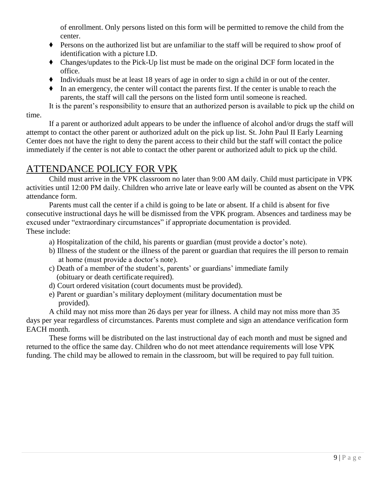of enrollment. Only persons listed on this form will be permitted to remove the child from the center.

- ◆ Persons on the authorized list but are unfamiliar to the staff will be required to show proof of identification with a picture I.D.
- ◆ Changes/updates to the Pick-Up list must be made on the original DCF form located in the office.
- ◆ Individuals must be at least 18 years of age in order to sign a child in or out of the center.
- ◆ In an emergency, the center will contact the parents first. If the center is unable to reach the parents, the staff will call the persons on the listed form until someone is reached.

It is the parent's responsibility to ensure that an authorized person is available to pick up the child on

time.

If a parent or authorized adult appears to be under the influence of alcohol and/or drugs the staff will attempt to contact the other parent or authorized adult on the pick up list. St. John Paul II Early Learning Center does not have the right to deny the parent access to their child but the staff will contact the police immediately if the center is not able to contact the other parent or authorized adult to pick up the child.

### <span id="page-8-0"></span>ATTENDANCE POLICY FOR VPK

Child must arrive in the VPK classroom no later than 9:00 AM daily. Child must participate in VPK activities until 12:00 PM daily. Children who arrive late or leave early will be counted as absent on the VPK attendance form.

Parents must call the center if a child is going to be late or absent. If a child is absent for five consecutive instructional days he will be dismissed from the VPK program. Absences and tardiness may be excused under "extraordinary circumstances" if appropriate documentation is provided. These include:

- a) Hospitalization of the child, his parents or guardian (must provide a doctor's note).
- b) Illness of the student or the illness of the parent or guardian that requires the ill person to remain at home (must provide a doctor's note).
- c) Death of a member of the student's, parents' or guardians' immediate family (obituary or death certificate required).
- d) Court ordered visitation (court documents must be provided).
- e) Parent or guardian's military deployment (military documentation must be provided).

A child may not miss more than 26 days per year for illness. A child may not miss more than 35 days per year regardless of circumstances. Parents must complete and sign an attendance verification form EACH month.

These forms will be distributed on the last instructional day of each month and must be signed and returned to the office the same day. Children who do not meet attendance requirements will lose VPK funding. The child may be allowed to remain in the classroom, but will be required to pay full tuition.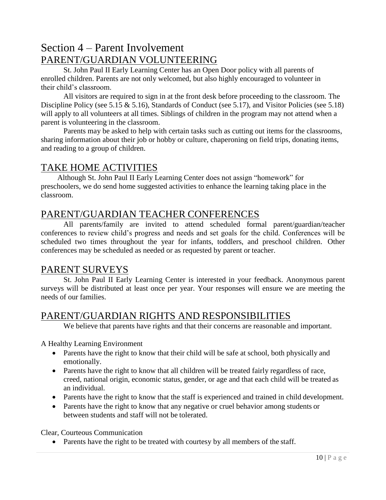## <span id="page-9-1"></span><span id="page-9-0"></span>Section 4 – Parent Involvement PARENT/GUARDIAN VOLUNTEERING

St. John Paul II Early Learning Center has an Open Door policy with all parents of enrolled children. Parents are not only welcomed, but also highly encouraged to volunteer in their child's classroom.

All visitors are required to sign in at the front desk before proceeding to the classroom. The Discipline Policy (see 5.15 & 5.16), Standards of Conduct (see 5.17), and Visitor Policies (see 5.18) will apply to all volunteers at all times. Siblings of children in the program may not attend when a parent is volunteering in the classroom.

Parents may be asked to help with certain tasks such as cutting out items for the classrooms, sharing information about their job or hobby or culture, chaperoning on field trips, donating items, and reading to a group of children.

#### <span id="page-9-2"></span>TAKE HOME ACTIVITIES

Although St. John Paul II Early Learning Center does not assign "homework" for preschoolers, we do send home suggested activities to enhance the learning taking place in the classroom.

### <span id="page-9-3"></span>PARENT/GUARDIAN TEACHER CONFERENCES

All parents/family are invited to attend scheduled formal parent/guardian/teacher conferences to review child's progress and needs and set goals for the child. Conferences will be scheduled two times throughout the year for infants, toddlers, and preschool children. Other conferences may be scheduled as needed or as requested by parent or teacher.

#### <span id="page-9-4"></span>PARENT SURVEYS

St. John Paul II Early Learning Center is interested in your feedback. Anonymous parent surveys will be distributed at least once per year. Your responses will ensure we are meeting the needs of our families.

#### <span id="page-9-5"></span>PARENT/GUARDIAN RIGHTS AND RESPONSIBILITIES

We believe that parents have rights and that their concerns are reasonable and important.

A Healthy Learning Environment

- Parents have the right to know that their child will be safe at school, both physically and emotionally.
- Parents have the right to know that all children will be treated fairly regardless of race, creed, national origin, economic status, gender, or age and that each child will be treated as an individual.
- Parents have the right to know that the staff is experienced and trained in child development.
- Parents have the right to know that any negative or cruel behavior among students or between students and staff will not be tolerated.

Clear, Courteous Communication

• Parents have the right to be treated with courtesy by all members of the staff.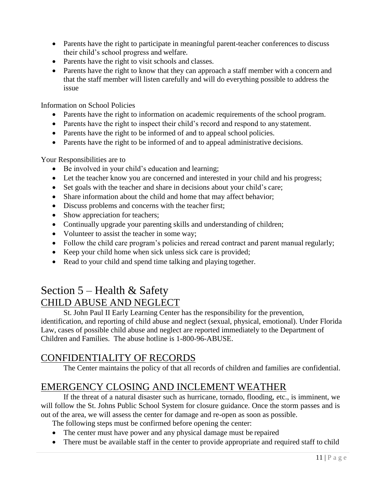- Parents have the right to participate in meaningful parent-teacher conferences to discuss their child's school progress and welfare.
- Parents have the right to visit schools and classes.
- Parents have the right to know that they can approach a staff member with a concern and that the staff member will listen carefully and will do everything possible to address the issue

Information on School Policies

- Parents have the right to information on academic requirements of the school program.
- Parents have the right to inspect their child's record and respond to any statement.
- Parents have the right to be informed of and to appeal school policies.
- Parents have the right to be informed of and to appeal administrative decisions.

Your Responsibilities are to

- Be involved in your child's education and learning;
- Let the teacher know you are concerned and interested in your child and his progress;
- Set goals with the teacher and share in decisions about your child's care;
- Share information about the child and home that may affect behavior;
- Discuss problems and concerns with the teacher first;
- Show appreciation for teachers;
- Continually upgrade your parenting skills and understanding of children;
- Volunteer to assist the teacher in some way;
- Follow the child care program's policies and reread contract and parent manual regularly;
- Keep your child home when sick unless sick care is provided;
- Read to your child and spend time talking and playing together.

## <span id="page-10-1"></span><span id="page-10-0"></span>Section 5 – Health & Safety CHILD ABUSE AND NEGLECT

St. John Paul II Early Learning Center has the responsibility for the prevention, identification, and reporting of child abuse and neglect (sexual, physical, emotional). Under Florida Law, cases of possible child abuse and neglect are reported immediately to the Department of Children and Families. The abuse hotline is 1-800-96-ABUSE.

## <span id="page-10-2"></span>CONFIDENTIALITY OF RECORDS

The Center maintains the policy of that all records of children and families are confidential.

## <span id="page-10-3"></span>EMERGENCY CLOSING AND INCLEMENT WEATHER

If the threat of a natural disaster such as hurricane, tornado, flooding, etc., is imminent, we will follow the St. Johns Public School System for closure guidance. Once the storm passes and is out of the area, we will assess the center for damage and re-open as soon as possible.

The following steps must be confirmed before opening the center:

- The center must have power and any physical damage must be repaired
- There must be available staff in the center to provide appropriate and required staff to child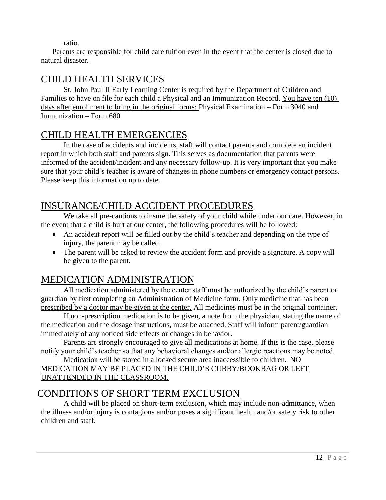ratio.

Parents are responsible for child care tuition even in the event that the center is closed due to natural disaster.

## <span id="page-11-0"></span>CHILD HEALTH SERVICES

St. John Paul II Early Learning Center is required by the Department of Children and Families to have on file for each child a Physical and an Immunization Record. You have ten (10) days after enrollment to bring in the original forms: Physical Examination – Form 3040 and Immunization – Form 680

## <span id="page-11-1"></span>CHILD HEALTH EMERGENCIES

In the case of accidents and incidents, staff will contact parents and complete an incident report in which both staff and parents sign. This serves as documentation that parents were informed of the accident/incident and any necessary follow-up. It is very important that you make sure that your child's teacher is aware of changes in phone numbers or emergency contact persons. Please keep this information up to date.

## <span id="page-11-2"></span>INSURANCE/CHILD ACCIDENT PROCEDURES

We take all pre-cautions to insure the safety of your child while under our care. However, in the event that a child is hurt at our center, the following procedures will be followed:

- An accident report will be filled out by the child's teacher and depending on the type of injury, the parent may be called.
- The parent will be asked to review the accident form and provide a signature. A copy will be given to the parent.

## <span id="page-11-3"></span>MEDICATION ADMINISTRATION

All medication administered by the center staff must be authorized by the child's parent or guardian by first completing an Administration of Medicine form. Only medicine that has been prescribed by a doctor may be given at the center. All medicines must be in the original container.

If non-prescription medication is to be given, a note from the physician, stating the name of the medication and the dosage instructions, must be attached. Staff will inform parent/guardian immediately of any noticed side effects or changes in behavior.

Parents are strongly encouraged to give all medications at home. If this is the case, please notify your child's teacher so that any behavioral changes and/or allergic reactions may be noted.

#### Medication will be stored in a locked secure area inaccessible to children. NO MEDICATION MAY BE PLACED IN THE CHILD'S CUBBY/BOOKBAG OR LEFT UNATTENDED IN THE CLASSROOM.

## <span id="page-11-4"></span>CONDITIONS OF SHORT TERM EXCLUSION

<span id="page-11-5"></span>A child will be placed on short-term exclusion, which may include non-admittance, when the illness and/or injury is contagious and/or poses a significant health and/or safety risk to other children and staff.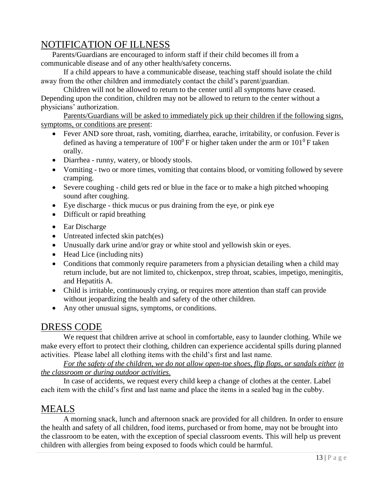## NOTIFICATION OF ILLNESS

Parents/Guardians are encouraged to inform staff if their child becomes ill from a communicable disease and of any other health/safety concerns.

If a child appears to have a communicable disease, teaching staff should isolate the child away from the other children and immediately contact the child's parent/guardian.

Children will not be allowed to return to the center until all symptoms have ceased. Depending upon the condition, children may not be allowed to return to the center without a physicians' authorization.

Parents/Guardians will be asked to immediately pick up their children if the following signs, symptoms, or conditions are present:

- Fever AND sore throat, rash, vomiting, diarrhea, earache, irritability, or confusion. Fever is defined as having a temperature of  $100^0$  F or higher taken under the arm or  $101^0$  F taken orally.
- Diarrhea runny, watery, or bloody stools.
- Vomiting two or more times, vomiting that contains blood, or vomiting followed by severe cramping.
- Severe coughing child gets red or blue in the face or to make a high pitched whooping sound after coughing.
- Eye discharge thick mucus or pus draining from the eye, or pink eye
- Difficult or rapid breathing
- Ear Discharge
- Untreated infected skin patch(es)
- Unusually dark urine and/or gray or white stool and yellowish skin or eyes.
- Head Lice (including nits)
- Conditions that commonly require parameters from a physician detailing when a child may return include, but are not limited to, chickenpox, strep throat, scabies, impetigo, meningitis, and Hepatitis A.
- Child is irritable, continuously crying, or requires more attention than staff can provide without jeopardizing the health and safety of the other children.
- Any other unusual signs, symptoms, or conditions.

### <span id="page-12-0"></span>DRESS CODE

We request that children arrive at school in comfortable, easy to launder clothing. While we make every effort to protect their clothing, children can experience accidental spills during planned activities. Please label all clothing items with the child's first and last name.

For the safety of the children, we do not allow open-toe shoes, flip flops, or sandals either in *the classroom or during outdoor activities.*

In case of accidents, we request every child keep a change of clothes at the center. Label each item with the child's first and last name and place the items in a sealed bag in the cubby.

## <span id="page-12-1"></span>MEALS

A morning snack, lunch and afternoon snack are provided for all children. In order to ensure the health and safety of all children, food items, purchased or from home, may not be brought into the classroom to be eaten, with the exception of special classroom events. This will help us prevent children with allergies from being exposed to foods which could be harmful.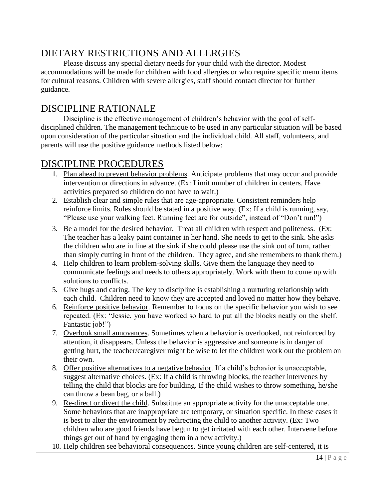## <span id="page-13-0"></span>DIETARY RESTRICTIONS AND ALLERGIES

Please discuss any special dietary needs for your child with the director. Modest accommodations will be made for children with food allergies or who require specific menu items for cultural reasons. Children with severe allergies, staff should contact director for further guidance.

## <span id="page-13-1"></span>DISCIPLINE RATIONALE

Discipline is the effective management of children's behavior with the goal of selfdisciplined children. The management technique to be used in any particular situation will be based upon consideration of the particular situation and the individual child. All staff, volunteers, and parents will use the positive guidance methods listed below:

## <span id="page-13-2"></span>DISCIPLINE PROCEDURES

- 1. Plan ahead to prevent behavior problems. Anticipate problems that may occur and provide intervention or directions in advance. (Ex: Limit number of children in centers. Have activities prepared so children do not have to wait.)
- 2. Establish clear and simple rules that are age-appropriate. Consistent reminders help reinforce limits. Rules should be stated in a positive way. (Ex: If a child is running, say, "Please use your walking feet. Running feet are for outside", instead of "Don't run!")
- 3. Be a model for the desired behavior. Treat all children with respect and politeness. (Ex: The teacher has a leaky paint container in her hand. She needs to get to the sink. She asks the children who are in line at the sink if she could please use the sink out of turn, rather than simply cutting in front of the children. They agree, and she remembers to thank them.)
- 4. Help children to learn problem-solving skills. Give them the language they need to communicate feelings and needs to others appropriately. Work with them to come up with solutions to conflicts.
- 5. Give hugs and caring. The key to discipline is establishing a nurturing relationship with each child. Children need to know they are accepted and loved no matter how they behave.
- 6. Reinforce positive behavior. Remember to focus on the specific behavior you wish to see repeated. (Ex: "Jessie, you have worked so hard to put all the blocks neatly on the shelf. Fantastic job!")
- 7. Overlook small annoyances. Sometimes when a behavior is overlooked, not reinforced by attention, it disappears. Unless the behavior is aggressive and someone is in danger of getting hurt, the teacher/caregiver might be wise to let the children work out the problem on their own.
- 8. Offer positive alternatives to a negative behavior. If a child's behavior is unacceptable, suggest alternative choices. (Ex: If a child is throwing blocks, the teacher intervenes by telling the child that blocks are for building. If the child wishes to throw something, he/she can throw a bean bag, or a ball.)
- 9. Re-direct or divert the child. Substitute an appropriate activity for the unacceptable one. Some behaviors that are inappropriate are temporary, or situation specific. In these cases it is best to alter the environment by redirecting the child to another activity. (Ex: Two children who are good friends have begun to get irritated with each other. Intervene before things get out of hand by engaging them in a new activity.)
- 10. Help children see behavioral consequences. Since young children are self-centered, it is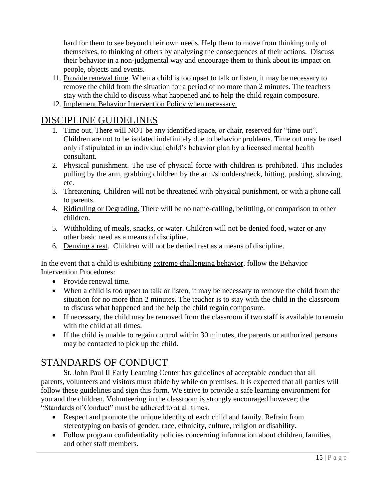hard for them to see beyond their own needs. Help them to move from thinking only of themselves, to thinking of others by analyzing the consequences of their actions. Discuss their behavior in a non-judgmental way and encourage them to think about its impact on people, objects and events.

- 11. Provide renewal time. When a child is too upset to talk or listen, it may be necessary to remove the child from the situation for a period of no more than 2 minutes. The teachers stay with the child to discuss what happened and to help the child regain composure.
- 12. Implement Behavior Intervention Policy when necessary.

## <span id="page-14-0"></span>DISCIPLINE GUIDELINES

- 1. Time out. There will NOT be any identified space, or chair, reserved for "time out". Children are not to be isolated indefinitely due to behavior problems. Time out may be used only if stipulated in an individual child's behavior plan by a licensed mental health consultant.
- 2. Physical punishment. The use of physical force with children is prohibited. This includes pulling by the arm, grabbing children by the arm/shoulders/neck, hitting, pushing, shoving, etc.
- 3. Threatening. Children will not be threatened with physical punishment, or with a phone call to parents.
- 4. Ridiculing or Degrading. There will be no name-calling, belittling, or comparison to other children.
- 5. Withholding of meals, snacks, or water. Children will not be denied food, water or any other basic need as a means of discipline.
- 6. Denying a rest. Children will not be denied rest as a means of discipline.

In the event that a child is exhibiting extreme challenging behavior, follow the Behavior Intervention Procedures:

- Provide renewal time.
- When a child is too upset to talk or listen, it may be necessary to remove the child from the situation for no more than 2 minutes. The teacher is to stay with the child in the classroom to discuss what happened and the help the child regain composure.
- If necessary, the child may be removed from the classroom if two staff is available to remain with the child at all times.
- If the child is unable to regain control within 30 minutes, the parents or authorized persons may be contacted to pick up the child.

### <span id="page-14-1"></span>STANDARDS OF CONDUCT

St. John Paul II Early Learning Center has guidelines of acceptable conduct that all parents, volunteers and visitors must abide by while on premises. It is expected that all parties will follow these guidelines and sign this form. We strive to provide a safe learning environment for you and the children. Volunteering in the classroom is strongly encouraged however; the "Standards of Conduct" must be adhered to at all times.

- Respect and promote the unique identity of each child and family. Refrain from stereotyping on basis of gender, race, ethnicity, culture, religion or disability.
- Follow program confidentiality policies concerning information about children, families, and other staff members.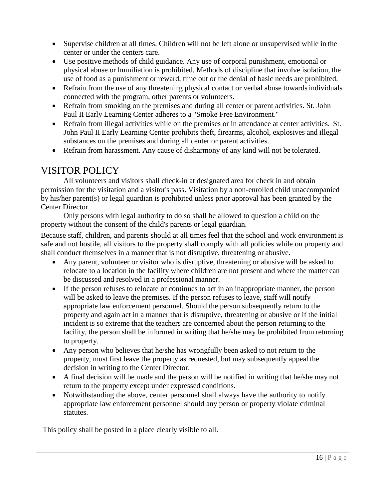- Supervise children at all times. Children will not be left alone or unsupervised while in the center or under the centers care.
- Use positive methods of child guidance. Any use of corporal punishment, emotional or physical abuse or humiliation is prohibited. Methods of discipline that involve isolation, the use of food as a punishment or reward, time out or the denial of basic needs are prohibited.
- Refrain from the use of any threatening physical contact or verbal abuse towards individuals connected with the program, other parents or volunteers.
- Refrain from smoking on the premises and during all center or parent activities. St. John Paul II Early Learning Center adheres to a "Smoke Free Environment."
- Refrain from illegal activities while on the premises or in attendance at center activities. St. John Paul II Early Learning Center prohibits theft, firearms, alcohol, explosives and illegal substances on the premises and during all center or parent activities.
- Refrain from harassment. Any cause of disharmony of any kind will not be tolerated.

## <span id="page-15-0"></span>VISITOR POLICY

All volunteers and visitors shall check-in at designated area for check in and obtain permission for the visitation and a visitor's pass. Visitation by a non-enrolled child unaccompanied by his/her parent(s) or legal guardian is prohibited unless prior approval has been granted by the Center Director.

Only persons with legal authority to do so shall be allowed to question a child on the property without the consent of the child's parents or legal guardian.

Because staff, children, and parents should at all times feel that the school and work environment is safe and not hostile, all visitors to the property shall comply with all policies while on property and shall conduct themselves in a manner that is not disruptive, threatening or abusive.

- Any parent, volunteer or visitor who is disruptive, threatening or abusive will be asked to relocate to a location in the facility where children are not present and where the matter can be discussed and resolved in a professional manner.
- If the person refuses to relocate or continues to act in an inappropriate manner, the person will be asked to leave the premises. If the person refuses to leave, staff will notify appropriate law enforcement personnel. Should the person subsequently return to the property and again act in a manner that is disruptive, threatening or abusive or if the initial incident is so extreme that the teachers are concerned about the person returning to the facility, the person shall be informed in writing that he/she may be prohibited from returning to property.
- Any person who believes that he/she has wrongfully been asked to not return to the property, must first leave the property as requested, but may subsequently appeal the decision in writing to the Center Director.
- A final decision will be made and the person will be notified in writing that he/she may not return to the property except under expressed conditions.
- Notwithstanding the above, center personnel shall always have the authority to notify appropriate law enforcement personnel should any person or property violate criminal statutes.

This policy shall be posted in a place clearly visible to all.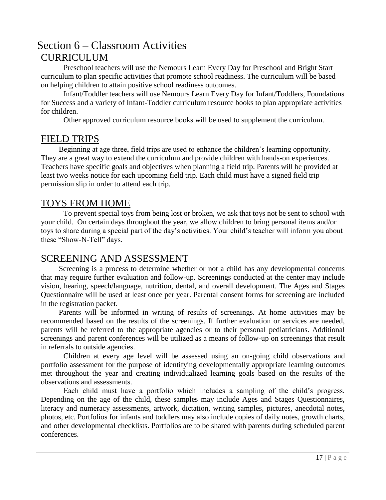## <span id="page-16-1"></span><span id="page-16-0"></span>Section 6 – Classroom Activities **CURRICULUM**

Preschool teachers will use the Nemours Learn Every Day for Preschool and Bright Start curriculum to plan specific activities that promote school readiness. The curriculum will be based on helping children to attain positive school readiness outcomes.

Infant/Toddler teachers will use Nemours Learn Every Day for Infant/Toddlers, Foundations for Success and a variety of Infant-Toddler curriculum resource books to plan appropriate activities for children.

Other approved curriculum resource books will be used to supplement the curriculum.

#### <span id="page-16-2"></span>FIELD TRIPS

Beginning at age three, field trips are used to enhance the children's learning opportunity. They are a great way to extend the curriculum and provide children with hands-on experiences. Teachers have specific goals and objectives when planning a field trip. Parents will be provided at least two weeks notice for each upcoming field trip. Each child must have a signed field trip permission slip in order to attend each trip.

#### <span id="page-16-3"></span>TOYS FROM HOME

To prevent special toys from being lost or broken, we ask that toys not be sent to school with your child. On certain days throughout the year, we allow children to bring personal items and/or toys to share during a special part of the day's activities. Your child's teacher will inform you about these "Show-N-Tell" days.

#### <span id="page-16-4"></span>SCREENING AND ASSESSMENT

Screening is a process to determine whether or not a child has any developmental concerns that may require further evaluation and follow-up. Screenings conducted at the center may include vision, hearing, speech/language, nutrition, dental, and overall development. The Ages and Stages Questionnaire will be used at least once per year. Parental consent forms for screening are included in the registration packet.

Parents will be informed in writing of results of screenings. At home activities may be recommended based on the results of the screenings. If further evaluation or services are needed, parents will be referred to the appropriate agencies or to their personal pediatricians. Additional screenings and parent conferences will be utilized as a means of follow-up on screenings that result in referrals to outside agencies.

Children at every age level will be assessed using an on-going child observations and portfolio assessment for the purpose of identifying developmentally appropriate learning outcomes met throughout the year and creating individualized learning goals based on the results of the observations and assessments.

Each child must have a portfolio which includes a sampling of the child's progress. Depending on the age of the child, these samples may include Ages and Stages Questionnaires, literacy and numeracy assessments, artwork, dictation, writing samples, pictures, anecdotal notes, photos, etc. Portfolios for infants and toddlers may also include copies of daily notes, growth charts, and other developmental checklists. Portfolios are to be shared with parents during scheduled parent conferences.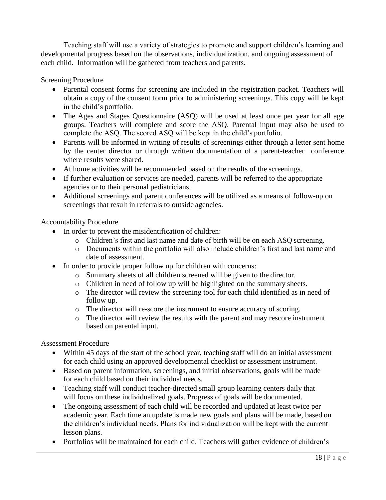Teaching staff will use a variety of strategies to promote and support children's learning and developmental progress based on the observations, individualization, and ongoing assessment of each child. Information will be gathered from teachers and parents.

#### Screening Procedure

- Parental consent forms for screening are included in the registration packet. Teachers will obtain a copy of the consent form prior to administering screenings. This copy will be kept in the child's portfolio.
- The Ages and Stages Questionnaire (ASQ) will be used at least once per year for all age groups. Teachers will complete and score the ASQ. Parental input may also be used to complete the ASQ. The scored ASQ will be kept in the child's portfolio.
- Parents will be informed in writing of results of screenings either through a letter sent home by the center director or through written documentation of a parent-teacher conference where results were shared.
- At home activities will be recommended based on the results of the screenings.
- If further evaluation or services are needed, parents will be referred to the appropriate agencies or to their personal pediatricians.
- Additional screenings and parent conferences will be utilized as a means of follow-up on screenings that result in referrals to outside agencies.

#### Accountability Procedure

- In order to prevent the misidentification of children:
	- o Children's first and last name and date of birth will be on each ASQ screening.
	- o Documents within the portfolio will also include children's first and last name and date of assessment.
- In order to provide proper follow up for children with concerns:
	- o Summary sheets of all children screened will be given to the director.
	- o Children in need of follow up will be highlighted on the summary sheets.
	- o The director will review the screening tool for each child identified as in need of follow up.
	- o The director will re-score the instrument to ensure accuracy of scoring.
	- o The director will review the results with the parent and may rescore instrument based on parental input.

#### Assessment Procedure

- Within 45 days of the start of the school year, teaching staff will do an initial assessment for each child using an approved developmental checklist or assessment instrument.
- Based on parent information, screenings, and initial observations, goals will be made for each child based on their individual needs.
- Teaching staff will conduct teacher-directed small group learning centers daily that will focus on these individualized goals. Progress of goals will be documented.
- The ongoing assessment of each child will be recorded and updated at least twice per academic year. Each time an update is made new goals and plans will be made, based on the children's individual needs. Plans for individualization will be kept with the current lesson plans.
- Portfolios will be maintained for each child. Teachers will gather evidence of children's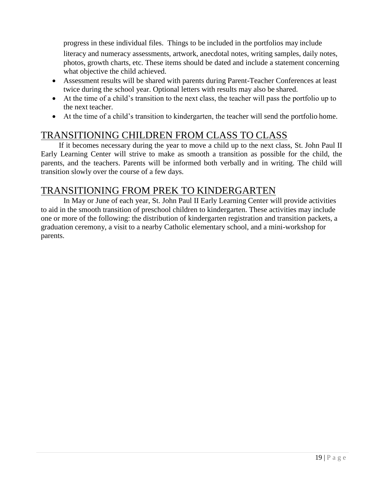progress in these individual files. Things to be included in the portfolios may include literacy and numeracy assessments, artwork, anecdotal notes, writing samples, daily notes, photos, growth charts, etc. These items should be dated and include a statement concerning what objective the child achieved.

- Assessment results will be shared with parents during Parent-Teacher Conferences at least twice during the school year. Optional letters with results may also be shared.
- At the time of a child's transition to the next class, the teacher will pass the portfolio up to the next teacher.
- At the time of a child's transition to kindergarten, the teacher will send the portfolio home.

#### <span id="page-18-0"></span>TRANSITIONING CHILDREN FROM CLASS TO CLASS

If it becomes necessary during the year to move a child up to the next class, St. John Paul II Early Learning Center will strive to make as smooth a transition as possible for the child, the parents, and the teachers. Parents will be informed both verbally and in writing. The child will transition slowly over the course of a few days.

### <span id="page-18-1"></span>TRANSITIONING FROM PREK TO KINDERGARTEN

In May or June of each year, St. John Paul II Early Learning Center will provide activities to aid in the smooth transition of preschool children to kindergarten. These activities may include one or more of the following: the distribution of kindergarten registration and transition packets, a graduation ceremony, a visit to a nearby Catholic elementary school, and a mini-workshop for parents.